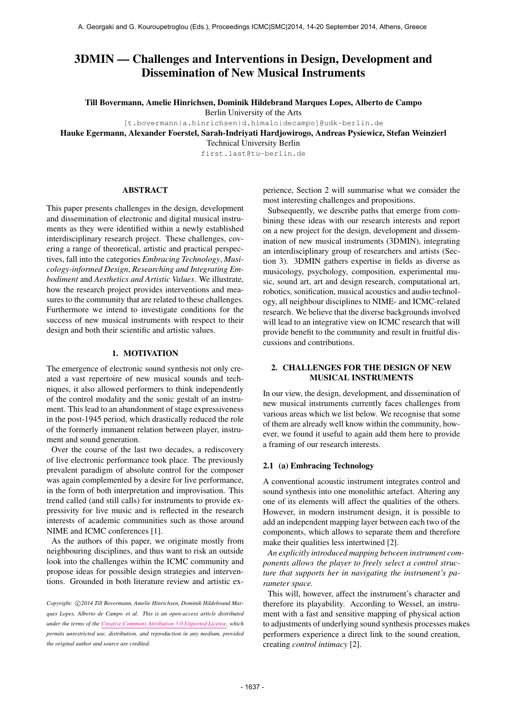# 3DMIN — Challenges and Interventions in Design, Development and Dissemination of New Musical Instruments

Till Bovermann, Amelie Hinrichsen, Dominik Hildebrand Marques Lopes, Alberto de Campo

Berlin University of the Arts

[t.bovermann|a.hinrichsen|d.himalo|decampo]@udk-berlin.de

Hauke Egermann, Alexander Foerstel, Sarah-Indriyati Hardjowirogo, Andreas Pysiewicz, Stefan Weinzierl

Technical University Berlin

first.last@tu-berlin.de

### ABSTRACT

This paper presents challenges in the design, development and dissemination of electronic and digital musical instruments as they were identified within a newly established interdisciplinary research project. These challenges, covering a range of theoretical, artistic and practical perspectives, fall into the categories *Embracing Technology*, *Musicology-informed Design*, *Researching and Integrating Embodiment* and *Aesthetics and Artistic Values*. We illustrate, how the research project provides interventions and measures to the community that are related to these challenges. Furthermore we intend to investigate conditions for the success of new musical instruments with respect to their design and both their scientific and artistic values.

## 1. MOTIVATION

The emergence of electronic sound synthesis not only created a vast repertoire of new musical sounds and techniques, it also allowed performers to think independently of the control modality and the sonic gestalt of an instrument. This lead to an abandonment of stage expressiveness in the post-1945 period, which drastically reduced the role of the formerly immanent relation between player, instrument and sound generation.

Over the course of the last two decades, a rediscovery of live electronic performance took place. The previously prevalent paradigm of absolute control for the composer was again complemented by a desire for live performance, in the form of both interpretation and improvisation. This trend called (and still calls) for instruments to provide expressivity for live music and is reflected in the research interests of academic communities such as those around NIME and ICMC conferences [1].

As the authors of this paper, we originate mostly from neighbouring disciplines, and thus want to risk an outside look into the challenges within the ICMC community and propose ideas for possible design strategies and interventions. Grounded in both literature review and artistic experience, Section 2 will summarise what we consider the most interesting challenges and propositions.

Subsequently, we describe paths that emerge from combining these ideas with our research interests and report on a new project for the design, development and dissemination of new musical instruments (3DMIN), integrating an interdisciplinary group of researchers and artists (Section 3). 3DMIN gathers expertise in fields as diverse as musicology, psychology, composition, experimental music, sound art, art and design research, computational art, robotics, sonification, musical acoustics and audio technology, all neighbour disciplines to NIME- and ICMC-related research. We believe that the diverse backgrounds involved will lead to an integrative view on ICMC research that will provide benefit to the community and result in fruitful discussions and contributions.

# 2. CHALLENGES FOR THE DESIGN OF NEW MUSICAL INSTRUMENTS

In our view, the design, development, and dissemination of new musical instruments currently faces challenges from various areas which we list below. We recognise that some of them are already well know within the community, however, we found it useful to again add them here to provide a framing of our research interests.

#### 2.1 (a) Embracing Technology

A conventional acoustic instrument integrates control and sound synthesis into one monolithic artefact. Altering any one of its elements will affect the qualities of the others. However, in modern instrument design, it is possible to add an independent mapping layer between each two of the components, which allows to separate them and therefore make their qualities less intertwined [2].

*An explicitly introduced mapping between instrument components allows the player to freely select a control structure that supports her in navigating the instrument's parameter space.*

This will, however, affect the instrument's character and therefore its playability. According to Wessel, an instrument with a fast and sensitive mapping of physical action to adjustments of underlying sound synthesis processes makes performers experience a direct link to the sound creation, creating *control intimacy* [2].

Copyright: C2014 Till Bovermann, Amelie Hinrichsen, Dominik Hildebrand Mar*ques Lopes, Alberto de Campo et al. This is an open-access article distributed under the terms of the [Creative Commons Attribution 3.0 Unported License,](http://creativecommons.org/licenses/by/3.0/) which permits unrestricted use, distribution, and reproduction in any medium, provided the original author and source are credited.*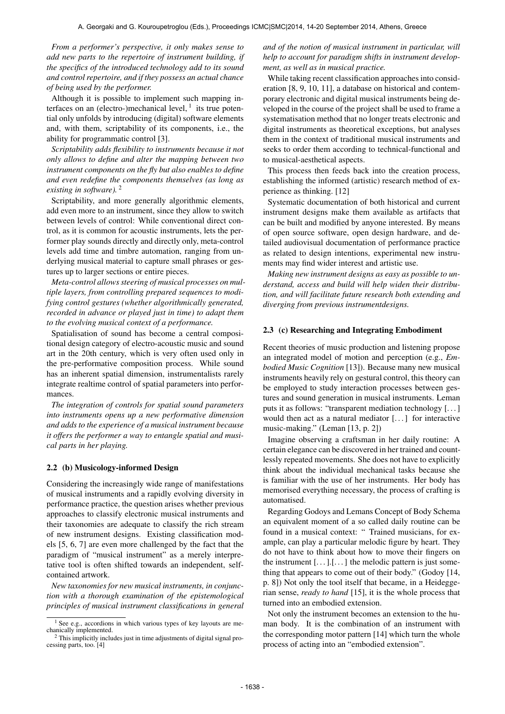*From a performer's perspective, it only makes sense to add new parts to the repertoire of instrument building, if the specifics of the introduced technology add to its sound and control repertoire, and if they possess an actual chance of being used by the performer.*

Although it is possible to implement such mapping interfaces on an (electro-)mechanical level,  $<sup>1</sup>$  its true poten-</sup> tial only unfolds by introducing (digital) software elements and, with them, scriptability of its components, i.e., the ability for programmatic control [3].

*Scriptability adds flexibility to instruments because it not only allows to define and alter the mapping between two instrument components on the fly but also enables to define and even redefine the components themselves (as long as existing in software).* 2

Scriptability, and more generally algorithmic elements, add even more to an instrument, since they allow to switch between levels of control: While conventional direct control, as it is common for acoustic instruments, lets the performer play sounds directly and directly only, meta-control levels add time and timbre automation, ranging from underlying musical material to capture small phrases or gestures up to larger sections or entire pieces.

*Meta-control allows steering of musical processes on multiple layers, from controlling prepared sequences to modifying control gestures (whether algorithmically generated, recorded in advance or played just in time) to adapt them to the evolving musical context of a performance.*

Spatialisation of sound has become a central compositional design category of electro-acoustic music and sound art in the 20th century, which is very often used only in the pre-performative composition process. While sound has an inherent spatial dimension, instrumentalists rarely integrate realtime control of spatial parameters into performances.

*The integration of controls for spatial sound parameters into instruments opens up a new performative dimension and adds to the experience of a musical instrument because it offers the performer a way to entangle spatial and musical parts in her playing.*

#### 2.2 (b) Musicology-informed Design

Considering the increasingly wide range of manifestations of musical instruments and a rapidly evolving diversity in performance practice, the question arises whether previous approaches to classify electronic musical instruments and their taxonomies are adequate to classify the rich stream of new instrument designs. Existing classification models [5, 6, 7] are even more challenged by the fact that the paradigm of "musical instrument" as a merely interpretative tool is often shifted towards an independent, selfcontained artwork.

*New taxonomies for new musical instruments, in conjunction with a thorough examination of the epistemological principles of musical instrument classifications in general* *and of the notion of musical instrument in particular, will help to account for paradigm shifts in instrument development, as well as in musical practice.*

While taking recent classification approaches into consideration [8, 9, 10, 11], a database on historical and contemporary electronic and digital musical instruments being developed in the course of the project shall be used to frame a systematisation method that no longer treats electronic and digital instruments as theoretical exceptions, but analyses them in the context of traditional musical instruments and seeks to order them according to technical-functional and to musical-aesthetical aspects.

This process then feeds back into the creation process, establishing the informed (artistic) research method of experience as thinking. [12]

Systematic documentation of both historical and current instrument designs make them available as artifacts that can be built and modified by anyone interested. By means of open source software, open design hardware, and detailed audiovisual documentation of performance practice as related to design intentions, experimental new instruments may find wider interest and artistic use.

*Making new instrument designs as easy as possible to understand, access and build will help widen their distribution, and will facilitate future research both extending and diverging from previous instrumentdesigns.*

#### 2.3 (c) Researching and Integrating Embodiment

Recent theories of music production and listening propose an integrated model of motion and perception (e.g., *Embodied Music Cognition* [13]). Because many new musical instruments heavily rely on gestural control, this theory can be employed to study interaction processes between gestures and sound generation in musical instruments. Leman puts it as follows: "transparent mediation technology [. . . ] would then act as a natural mediator [...] for interactive music-making." (Leman [13, p. 2])

Imagine observing a craftsman in her daily routine: A certain elegance can be discovered in her trained and countlessly repeated movements. She does not have to explicitly think about the individual mechanical tasks because she is familiar with the use of her instruments. Her body has memorised everything necessary, the process of crafting is automatised.

Regarding Godoys and Lemans Concept of Body Schema an equivalent moment of a so called daily routine can be found in a musical context: " Trained musicians, for example, can play a particular melodic figure by heart. They do not have to think about how to move their fingers on the instrument  $[...]$ . [...] the melodic pattern is just something that appears to come out of their body." (Godoy [14, p. 8]) Not only the tool itself that became, in a Heideggerian sense, *ready to hand* [15], it is the whole process that turned into an embodied extension.

Not only the instrument becomes an extension to the human body. It is the combination of an instrument with the corresponding motor pattern [14] which turn the whole process of acting into an "embodied extension".

 $1$  See e.g., accordions in which various types of key layouts are mechanically implemented.

<sup>2</sup> This implicitly includes just in time adjustments of digital signal processing parts, too. [4]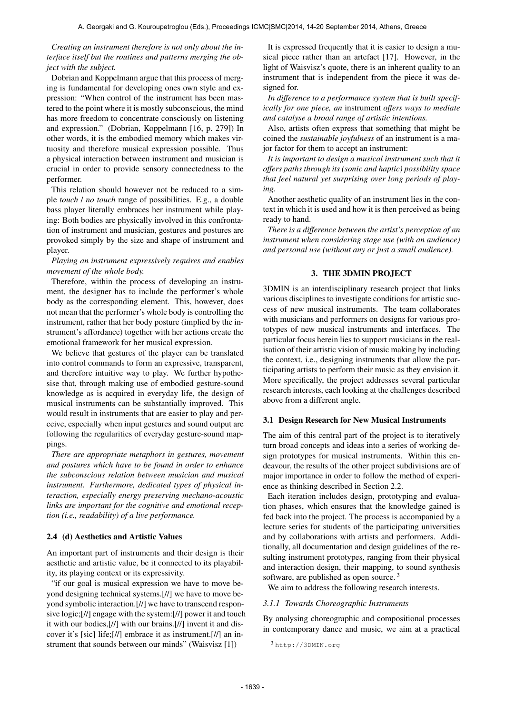## *Creating an instrument therefore is not only about the interface itself but the routines and patterns merging the object with the subject.*

Dobrian and Koppelmann argue that this process of merging is fundamental for developing ones own style and expression: "When control of the instrument has been mastered to the point where it is mostly subconscious, the mind has more freedom to concentrate consciously on listening and expression." (Dobrian, Koppelmann [16, p. 279]) In other words, it is the embodied memory which makes virtuosity and therefore musical expression possible. Thus a physical interaction between instrument and musician is crucial in order to provide sensory connectedness to the performer.

This relation should however not be reduced to a simple *touch* / *no touch* range of possibilities. E.g., a double bass player literally embraces her instrument while playing: Both bodies are physically involved in this confrontation of instrument and musician, gestures and postures are provoked simply by the size and shape of instrument and player.

## *Playing an instrument expressively requires and enables movement of the whole body.*

Therefore, within the process of developing an instrument, the designer has to include the performer's whole body as the corresponding element. This, however, does not mean that the performer's whole body is controlling the instrument, rather that her body posture (implied by the instrument's affordance) together with her actions create the emotional framework for her musical expression.

We believe that gestures of the player can be translated into control commands to form an expressive, transparent, and therefore intuitive way to play. We further hypothesise that, through making use of embodied gesture-sound knowledge as is acquired in everyday life, the design of musical instruments can be substantially improved. This would result in instruments that are easier to play and perceive, especially when input gestures and sound output are following the regularities of everyday gesture-sound mappings.

*There are appropriate metaphors in gestures, movement and postures which have to be found in order to enhance the subconscious relation between musician and musical instrument. Furthermore, dedicated types of physical interaction, especially energy preserving mechano-acoustic links are important for the cognitive and emotional reception (i.e., readability) of a live performance.*

#### 2.4 (d) Aesthetics and Artistic Values

An important part of instruments and their design is their aesthetic and artistic value, be it connected to its playability, its playing context or its expressivity.

"if our goal is musical expression we have to move beyond designing technical systems.[//] we have to move beyond symbolic interaction.[//] we have to transcend responsive logic;[//] engage with the system:[//] power it and touch it with our bodies,[//] with our brains.[//] invent it and discover it's [sic] life;[//] embrace it as instrument.[//] an instrument that sounds between our minds" (Waisvisz [1])

It is expressed frequently that it is easier to design a musical piece rather than an artefact [17]. However, in the light of Waisvisz's quote, there is an inherent quality to an instrument that is independent from the piece it was designed for.

*In difference to a performance system that is built specifically for one piece, an* instrument *offers ways to mediate and catalyse a broad range of artistic intentions.*

Also, artists often express that something that might be coined the *sustainable joyfulness* of an instrument is a major factor for them to accept an instrument:

*It is important to design a musical instrument such that it offers paths through its (sonic and haptic) possibility space that feel natural yet surprising over long periods of playing.*

Another aesthetic quality of an instrument lies in the context in which it is used and how it is then perceived as being ready to hand.

*There is a difference between the artist's perception of an instrument when considering stage use (with an audience) and personal use (without any or just a small audience).*

## 3. THE 3DMIN PROJECT

3DMIN is an interdisciplinary research project that links various disciplines to investigate conditions for artistic success of new musical instruments. The team collaborates with musicians and performers on designs for various prototypes of new musical instruments and interfaces. The particular focus herein lies to support musicians in the realisation of their artistic vision of music making by including the context, i.e., designing instruments that allow the participating artists to perform their music as they envision it. More specifically, the project addresses several particular research interests, each looking at the challenges described above from a different angle.

#### 3.1 Design Research for New Musical Instruments

The aim of this central part of the project is to iteratively turn broad concepts and ideas into a series of working design prototypes for musical instruments. Within this endeavour, the results of the other project subdivisions are of major importance in order to follow the method of experience as thinking described in Section 2.2.

Each iteration includes design, prototyping and evaluation phases, which ensures that the knowledge gained is fed back into the project. The process is accompanied by a lecture series for students of the participating universities and by collaborations with artists and performers. Additionally, all documentation and design guidelines of the resulting instrument prototypes, ranging from their physical and interaction design, their mapping, to sound synthesis software, are published as open source.<sup>3</sup>

We aim to address the following research interests.

#### *3.1.1 Towards Choreographic Instruments*

By analysing choreographic and compositional processes in contemporary dance and music, we aim at a practical

<sup>3</sup> <http://3DMIN.org>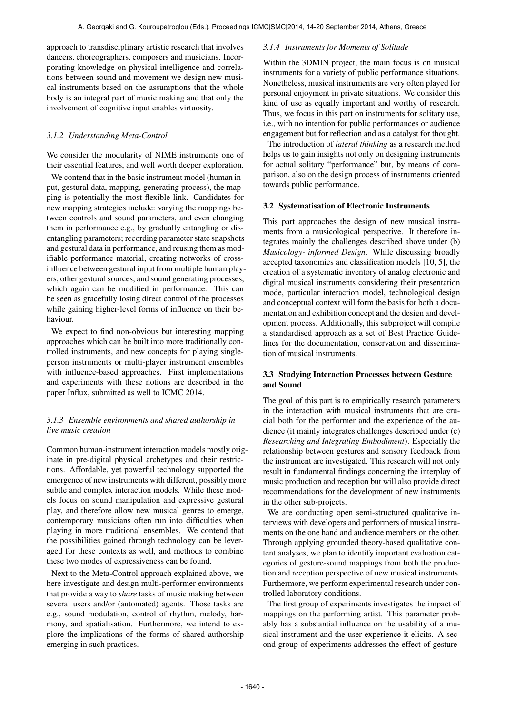approach to transdisciplinary artistic research that involves dancers, choreographers, composers and musicians. Incorporating knowledge on physical intelligence and correlations between sound and movement we design new musical instruments based on the assumptions that the whole body is an integral part of music making and that only the involvement of cognitive input enables virtuosity.

## *3.1.2 Understanding Meta-Control*

We consider the modularity of NIME instruments one of their essential features, and well worth deeper exploration.

We contend that in the basic instrument model (human input, gestural data, mapping, generating process), the mapping is potentially the most flexible link. Candidates for new mapping strategies include: varying the mappings between controls and sound parameters, and even changing them in performance e.g., by gradually entangling or disentangling parameters; recording parameter state snapshots and gestural data in performance, and reusing them as modifiable performance material, creating networks of crossinfluence between gestural input from multiple human players, other gestural sources, and sound generating processes, which again can be modified in performance. This can be seen as gracefully losing direct control of the processes while gaining higher-level forms of influence on their behaviour.

We expect to find non-obvious but interesting mapping approaches which can be built into more traditionally controlled instruments, and new concepts for playing singleperson instruments or multi-player instrument ensembles with influence-based approaches. First implementations and experiments with these notions are described in the paper Influx, submitted as well to ICMC 2014.

# *3.1.3 Ensemble environments and shared authorship in live music creation*

Common human-instrument interaction models mostly originate in pre-digital physical archetypes and their restrictions. Affordable, yet powerful technology supported the emergence of new instruments with different, possibly more subtle and complex interaction models. While these models focus on sound manipulation and expressive gestural play, and therefore allow new musical genres to emerge, contemporary musicians often run into difficulties when playing in more traditional ensembles. We contend that the possibilities gained through technology can be leveraged for these contexts as well, and methods to combine these two modes of expressiveness can be found.

Next to the Meta-Control approach explained above, we here investigate and design multi-performer environments that provide a way to *share* tasks of music making between several users and/or (automated) agents. Those tasks are e.g., sound modulation, control of rhythm, melody, harmony, and spatialisation. Furthermore, we intend to explore the implications of the forms of shared authorship emerging in such practices.

#### *3.1.4 Instruments for Moments of Solitude*

Within the 3DMIN project, the main focus is on musical instruments for a variety of public performance situations. Nonetheless, musical instruments are very often played for personal enjoyment in private situations. We consider this kind of use as equally important and worthy of research. Thus, we focus in this part on instruments for solitary use, i.e., with no intention for public performances or audience engagement but for reflection and as a catalyst for thought.

The introduction of *lateral thinking* as a research method helps us to gain insights not only on designing instruments for actual solitary "performance" but, by means of comparison, also on the design process of instruments oriented towards public performance.

#### 3.2 Systematisation of Electronic Instruments

This part approaches the design of new musical instruments from a musicological perspective. It therefore integrates mainly the challenges described above under (b) *Musicology- informed Design*. While discussing broadly accepted taxonomies and classification models [10, 5], the creation of a systematic inventory of analog electronic and digital musical instruments considering their presentation mode, particular interaction model, technological design and conceptual context will form the basis for both a documentation and exhibition concept and the design and development process. Additionally, this subproject will compile a standardised approach as a set of Best Practice Guidelines for the documentation, conservation and dissemination of musical instruments.

# 3.3 Studying Interaction Processes between Gesture and Sound

The goal of this part is to empirically research parameters in the interaction with musical instruments that are crucial both for the performer and the experience of the audience (it mainly integrates challenges described under (c) *Researching and Integrating Embodiment*). Especially the relationship between gestures and sensory feedback from the instrument are investigated. This research will not only result in fundamental findings concerning the interplay of music production and reception but will also provide direct recommendations for the development of new instruments in the other sub-projects.

We are conducting open semi-structured qualitative interviews with developers and performers of musical instruments on the one hand and audience members on the other. Through applying grounded theory-based qualitative content analyses, we plan to identify important evaluation categories of gesture-sound mappings from both the production and reception perspective of new musical instruments. Furthermore, we perform experimental research under controlled laboratory conditions.

The first group of experiments investigates the impact of mappings on the performing artist. This parameter probably has a substantial influence on the usability of a musical instrument and the user experience it elicits. A second group of experiments addresses the effect of gesture-